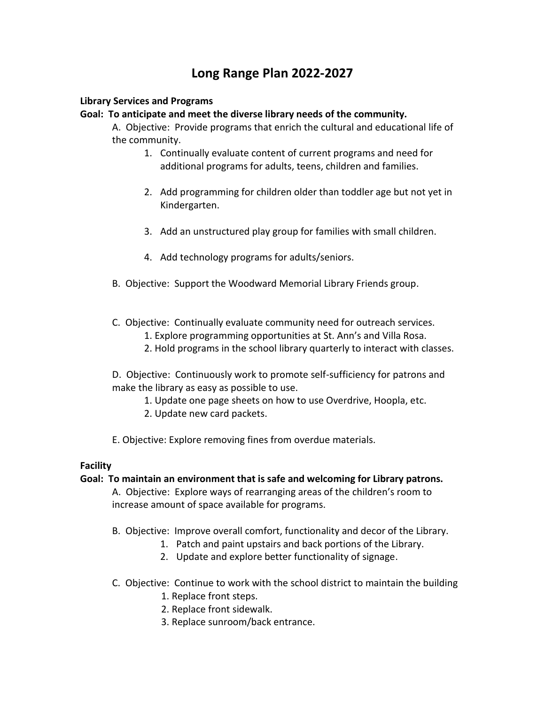# **Long Range Plan 2022-2027**

# **Library Services and Programs**

## **Goal: To anticipate and meet the diverse library needs of the community.**

A. Objective: Provide programs that enrich the cultural and educational life of the community.

- 1. Continually evaluate content of current programs and need for additional programs for adults, teens, children and families.
- 2. Add programming for children older than toddler age but not yet in Kindergarten.
- 3. Add an unstructured play group for families with small children.
- 4. Add technology programs for adults/seniors.
- B. Objective: Support the Woodward Memorial Library Friends group.
- C. Objective: Continually evaluate community need for outreach services.
	- 1. Explore programming opportunities at St. Ann's and Villa Rosa.
	- 2. Hold programs in the school library quarterly to interact with classes.

D. Objective: Continuously work to promote self-sufficiency for patrons and make the library as easy as possible to use.

- 1. Update one page sheets on how to use Overdrive, Hoopla, etc.
- 2. Update new card packets.
- E. Objective: Explore removing fines from overdue materials.

## **Facility**

## **Goal: To maintain an environment that is safe and welcoming for Library patrons.**

A. Objective: Explore ways of rearranging areas of the children's room to increase amount of space available for programs.

- B. Objective: Improve overall comfort, functionality and decor of the Library.
	- 1. Patch and paint upstairs and back portions of the Library.
	- 2. Update and explore better functionality of signage.
- C. Objective: Continue to work with the school district to maintain the building
	- 1. Replace front steps.
	- 2. Replace front sidewalk.
	- 3. Replace sunroom/back entrance.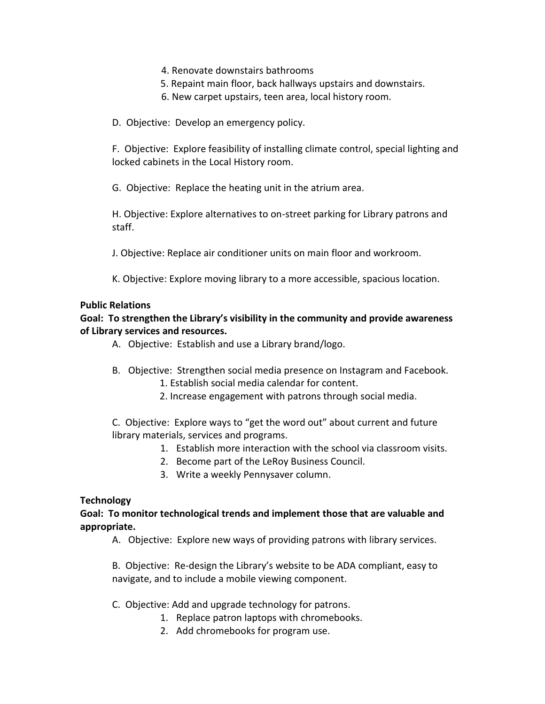- 4. Renovate downstairs bathrooms
- 5. Repaint main floor, back hallways upstairs and downstairs.
- 6. New carpet upstairs, teen area, local history room.

D. Objective: Develop an emergency policy.

F. Objective: Explore feasibility of installing climate control, special lighting and locked cabinets in the Local History room.

G. Objective: Replace the heating unit in the atrium area.

H. Objective: Explore alternatives to on-street parking for Library patrons and staff.

J. Objective: Replace air conditioner units on main floor and workroom.

K. Objective: Explore moving library to a more accessible, spacious location.

## **Public Relations**

## **Goal: To strengthen the Library's visibility in the community and provide awareness of Library services and resources.**

- A. Objective: Establish and use a Library brand/logo.
- B. Objective: Strengthen social media presence on Instagram and Facebook.
	- 1. Establish social media calendar for content.
	- 2. Increase engagement with patrons through social media.

C. Objective: Explore ways to "get the word out" about current and future library materials, services and programs.

- 1. Establish more interaction with the school via classroom visits.
- 2. Become part of the LeRoy Business Council.
- 3. Write a weekly Pennysaver column.

## **Technology**

**Goal: To monitor technological trends and implement those that are valuable and appropriate.**

A. Objective: Explore new ways of providing patrons with library services.

B. Objective: Re-design the Library's website to be ADA compliant, easy to navigate, and to include a mobile viewing component.

- C. Objective: Add and upgrade technology for patrons.
	- 1. Replace patron laptops with chromebooks.
	- 2. Add chromebooks for program use.